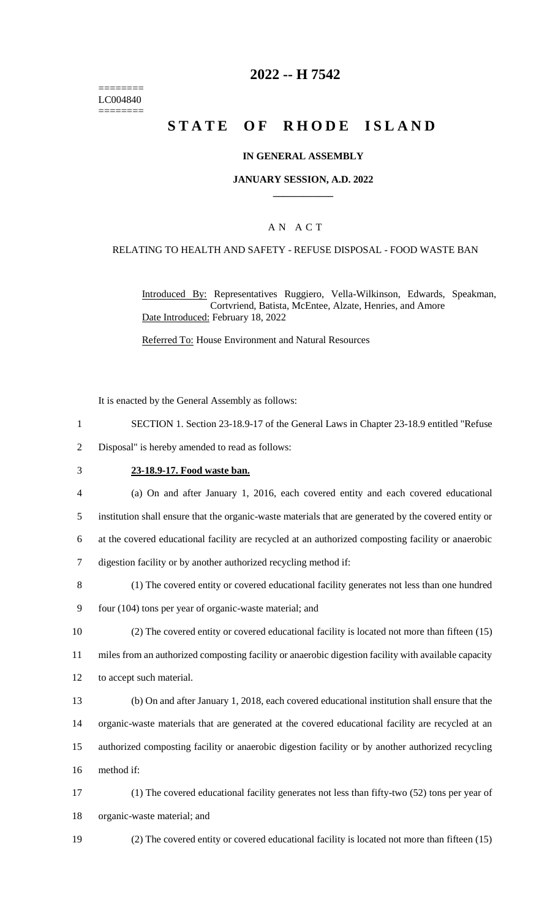======== LC004840 ========

### **2022 -- H 7542**

# **STATE OF RHODE ISLAND**

#### **IN GENERAL ASSEMBLY**

#### **JANUARY SESSION, A.D. 2022 \_\_\_\_\_\_\_\_\_\_\_\_**

### A N A C T

#### RELATING TO HEALTH AND SAFETY - REFUSE DISPOSAL - FOOD WASTE BAN

Introduced By: Representatives Ruggiero, Vella-Wilkinson, Edwards, Speakman, Cortvriend, Batista, McEntee, Alzate, Henries, and Amore Date Introduced: February 18, 2022

Referred To: House Environment and Natural Resources

It is enacted by the General Assembly as follows:

- 1 SECTION 1. Section 23-18.9-17 of the General Laws in Chapter 23-18.9 entitled "Refuse
- 2 Disposal" is hereby amended to read as follows:
- 

#### 3 **23-18.9-17. Food waste ban.**

4 (a) On and after January 1, 2016, each covered entity and each covered educational

5 institution shall ensure that the organic-waste materials that are generated by the covered entity or

6 at the covered educational facility are recycled at an authorized composting facility or anaerobic

- 7 digestion facility or by another authorized recycling method if:
- 8 (1) The covered entity or covered educational facility generates not less than one hundred
- 9 four (104) tons per year of organic-waste material; and

10 (2) The covered entity or covered educational facility is located not more than fifteen (15)

11 miles from an authorized composting facility or anaerobic digestion facility with available capacity

12 to accept such material.

13 (b) On and after January 1, 2018, each covered educational institution shall ensure that the 14 organic-waste materials that are generated at the covered educational facility are recycled at an 15 authorized composting facility or anaerobic digestion facility or by another authorized recycling

16 method if:

17 (1) The covered educational facility generates not less than fifty-two (52) tons per year of 18 organic-waste material; and

- 
- 19 (2) The covered entity or covered educational facility is located not more than fifteen (15)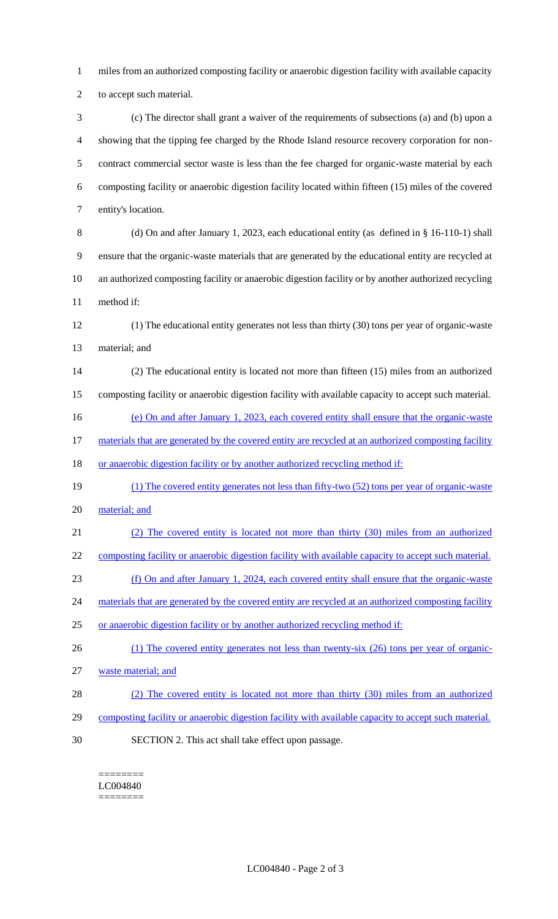miles from an authorized composting facility or anaerobic digestion facility with available capacity to accept such material.

 (c) The director shall grant a waiver of the requirements of subsections (a) and (b) upon a showing that the tipping fee charged by the Rhode Island resource recovery corporation for non- contract commercial sector waste is less than the fee charged for organic-waste material by each composting facility or anaerobic digestion facility located within fifteen (15) miles of the covered entity's location.

 (d) On and after January 1, 2023, each educational entity (as defined in § 16-110-1) shall ensure that the organic-waste materials that are generated by the educational entity are recycled at an authorized composting facility or anaerobic digestion facility or by another authorized recycling method if:

 (1) The educational entity generates not less than thirty (30) tons per year of organic-waste material; and

 (2) The educational entity is located not more than fifteen (15) miles from an authorized composting facility or anaerobic digestion facility with available capacity to accept such material.

16 (e) On and after January 1, 2023, each covered entity shall ensure that the organic-waste

17 materials that are generated by the covered entity are recycled at an authorized composting facility

18 or anaerobic digestion facility or by another authorized recycling method if:

- (1) The covered entity generates not less than fifty-two (52) tons per year of organic-waste 20 material; and
- (2) The covered entity is located not more than thirty (30) miles from an authorized
- composting facility or anaerobic digestion facility with available capacity to accept such material.
- (f) On and after January 1, 2024, each covered entity shall ensure that the organic-waste

24 materials that are generated by the covered entity are recycled at an authorized composting facility

- 25 or anaerobic digestion facility or by another authorized recycling method if:
- 26 (1) The covered entity generates not less than twenty-six (26) tons per year of organic-waste material; and
- (2) The covered entity is located not more than thirty (30) miles from an authorized
- 29 composting facility or anaerobic digestion facility with available capacity to accept such material.
- SECTION 2. This act shall take effect upon passage.

======== LC004840

========